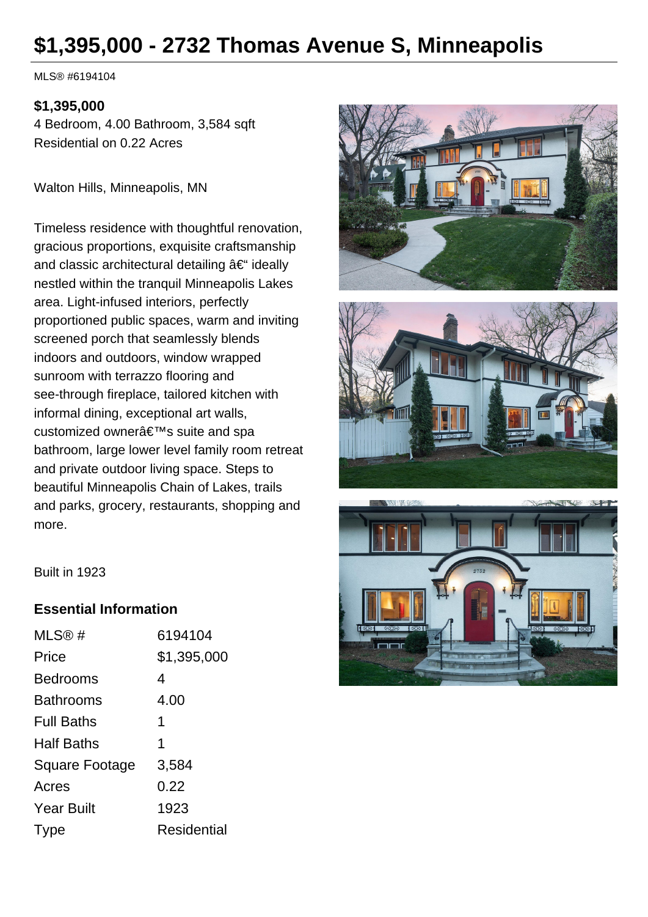# **\$1,395,000 - 2732 Thomas Avenue S, Minneapolis**

MLS® #6194104

#### **\$1,395,000**

4 Bedroom, 4.00 Bathroom, 3,584 sqft Residential on 0.22 Acres

Walton Hills, Minneapolis, MN

Timeless residence with thoughtful renovation, gracious proportions, exquisite craftsmanship and classic architectural detailing  $\hat{a} \in \hat{a}$  ideally nestled within the tranquil Minneapolis Lakes area. Light-infused interiors, perfectly proportioned public spaces, warm and inviting screened porch that seamlessly blends indoors and outdoors, window wrapped sunroom with terrazzo flooring and see-through fireplace, tailored kitchen with informal dining, exceptional art walls, customized owner's suite and spa bathroom, large lower level family room retreat and private outdoor living space. Steps to beautiful Minneapolis Chain of Lakes, trails and parks, grocery, restaurants, shopping and more.







Built in 1923

#### **Essential Information**

| MLS@#                 | 6194104     |
|-----------------------|-------------|
| Price                 | \$1,395,000 |
| <b>Bedrooms</b>       | 4           |
| <b>Bathrooms</b>      | 4.00        |
| <b>Full Baths</b>     | 1           |
| <b>Half Baths</b>     | 1           |
| <b>Square Footage</b> | 3,584       |
| Acres                 | 0.22        |
| <b>Year Built</b>     | 1923        |
| Type                  | Residential |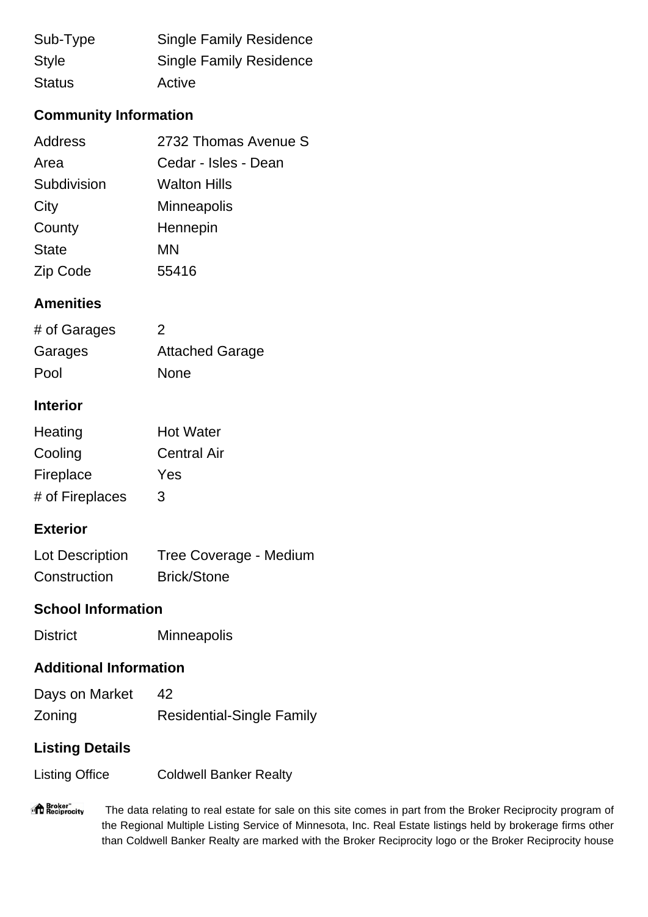| Sub-Type      | <b>Single Family Residence</b> |
|---------------|--------------------------------|
| <b>Style</b>  | <b>Single Family Residence</b> |
| <b>Status</b> | Active                         |

# **Community Information**

| Address      | 2732 Thomas Avenue S |
|--------------|----------------------|
| Area         | Cedar - Isles - Dean |
| Subdivision  | <b>Walton Hills</b>  |
| City         | <b>Minneapolis</b>   |
| County       | Hennepin             |
| <b>State</b> | MN                   |
| Zip Code     | 55416                |

## **Amenities**

| # of Garages | $\mathcal{P}$          |
|--------------|------------------------|
| Garages      | <b>Attached Garage</b> |
| Pool         | <b>None</b>            |

## **Interior**

| Heating         | <b>Hot Water</b>   |
|-----------------|--------------------|
| Cooling         | <b>Central Air</b> |
| Fireplace       | Yes                |
| # of Fireplaces | 3                  |

## **Exterior**

| Lot Description | Tree Coverage - Medium |
|-----------------|------------------------|
| Construction    | <b>Brick/Stone</b>     |

#### **School Information**

District Minneapolis

#### **Additional Information**

| Days on Market |                                  |
|----------------|----------------------------------|
| Zoning         | <b>Residential-Single Family</b> |

# **Listing Details**

Listing Office Coldwell Banker Realty

"<sup>1</sup> Broker"<br>"If Reciprocity The data relating to real estate for sale on this site comes in part from the Broker Reciprocity program of the Regional Multiple Listing Service of Minnesota, Inc. Real Estate listings held by brokerage firms other than Coldwell Banker Realty are marked with the Broker Reciprocity logo or the Broker Reciprocity house